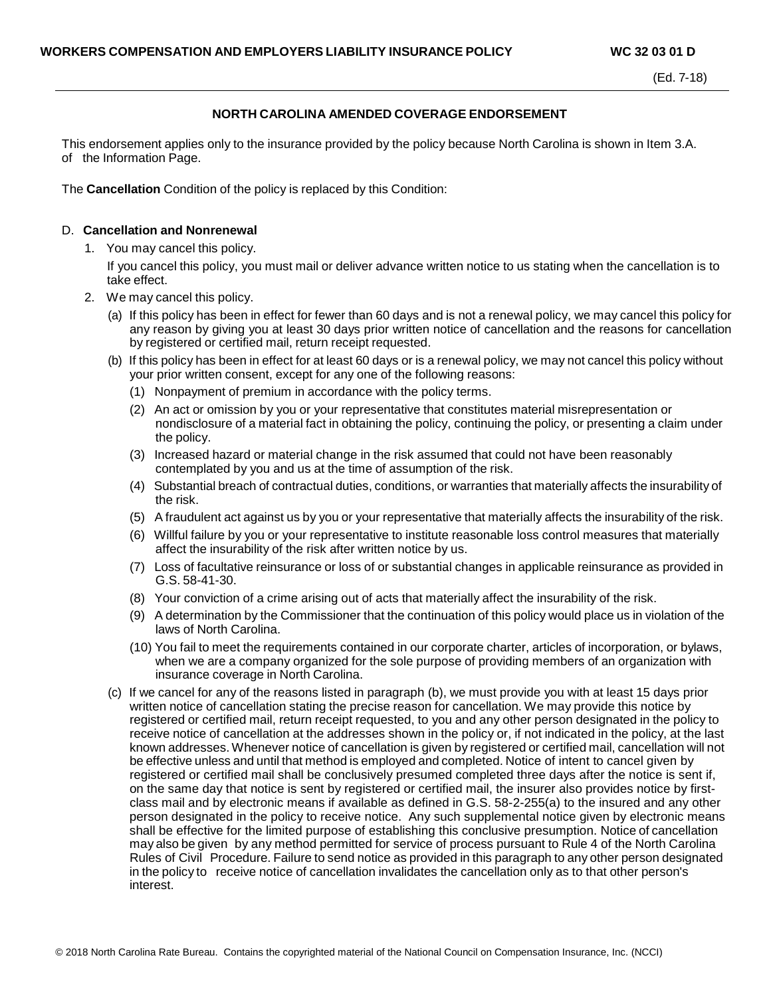## **NORTH CAROLINA AMENDED COVERAGE ENDORSEMENT**

This endorsement applies only to the insurance provided by the policy because North Carolina is shown in Item 3.A. of the Information Page.

The **Cancellation** Condition of the policy is replaced by this Condition:

## D. **Cancellation and Nonrenewal**

1. You may cancel this policy.

If you cancel this policy, you must mail or deliver advance written notice to us stating when the cancellation is to take effect.

- 2. We may cancel this policy.
	- (a) If this policy has been in effect for fewer than 60 days and is not a renewal policy, we may cancel this policy for any reason by giving you at least 30 days prior written notice of cancellation and the reasons for cancellation by registered or certified mail, return receipt requested.
	- (b) If this policy has been in effect for at least 60 days or is a renewal policy, we may not cancel this policy without your prior written consent, except for any one of the following reasons:
		- (1) Nonpayment of premium in accordance with the policy terms.
		- (2) An act or omission by you or your representative that constitutes material misrepresentation or nondisclosure of a material fact in obtaining the policy, continuing the policy, or presenting a claim under the policy.
		- (3) Increased hazard or material change in the risk assumed that could not have been reasonably contemplated by you and us at the time of assumption of the risk.
		- (4) Substantial breach of contractual duties, conditions, or warranties that materially affects the insurability of the risk.
		- (5) A fraudulent act against us by you or your representative that materially affects the insurability of the risk.
		- (6) Willful failure by you or your representative to institute reasonable loss control measures that materially affect the insurability of the risk after written notice by us.
		- (7) Loss of facultative reinsurance or loss of or substantial changes in applicable reinsurance as provided in G.S. 58-41-30.
		- (8) Your conviction of a crime arising out of acts that materially affect the insurability of the risk.
		- (9) A determination by the Commissioner that the continuation of this policy would place us in violation of the laws of North Carolina.
		- (10) You fail to meet the requirements contained in our corporate charter, articles of incorporation, or bylaws, when we are a company organized for the sole purpose of providing members of an organization with insurance coverage in North Carolina.
	- (c) If we cancel for any of the reasons listed in paragraph (b), we must provide you with at least 15 days prior written notice of cancellation stating the precise reason for cancellation. We may provide this notice by registered or certified mail, return receipt requested, to you and any other person designated in the policy to receive notice of cancellation at the addresses shown in the policy or, if not indicated in the policy, at the last known addresses. Whenever notice of cancellation is given by registered or certified mail, cancellation will not be effective unless and until that method is employed and completed. Notice of intent to cancel given by registered or certified mail shall be conclusively presumed completed three days after the notice is sent if, on the same day that notice is sent by registered or certified mail, the insurer also provides notice by firstclass mail and by electronic means if available as defined in G.S. 58-2-255(a) to the insured and any other person designated in the policy to receive notice. Any such supplemental notice given by electronic means shall be effective for the limited purpose of establishing this conclusive presumption. Notice of cancellation may also be given by any method permitted for service of process pursuant to Rule 4 of the North Carolina Rules of Civil Procedure. Failure to send notice as provided in this paragraph to any other person designated in the policy to receive notice of cancellation invalidates the cancellation only as to that other person's interest.